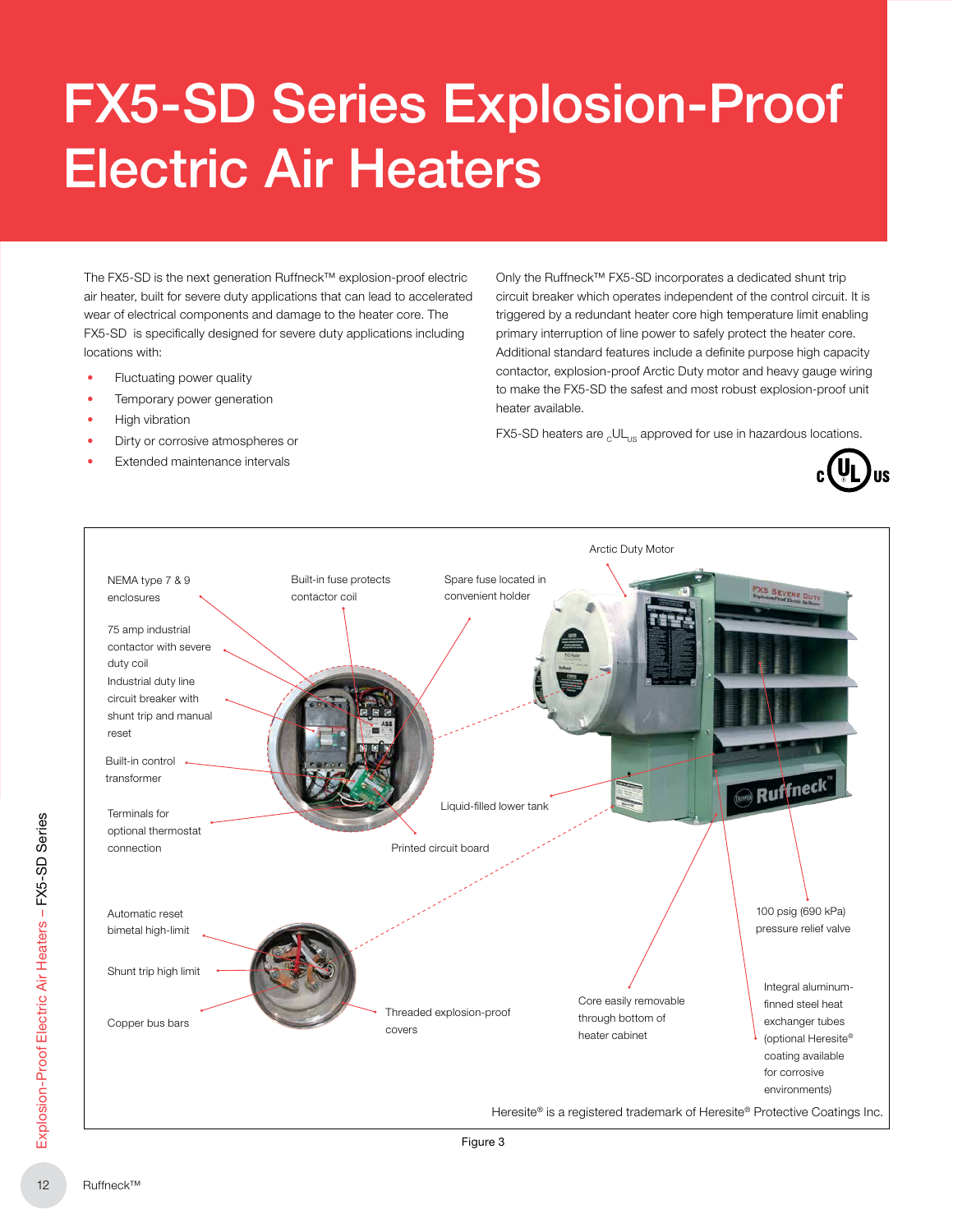# FX5-SD Series Explosion-Proof Electric Air Heaters

The FX5-SD is the next generation Ruffneck™ explosion-proof electric air heater, built for severe duty applications that can lead to accelerated wear of electrical components and damage to the heater core. The FX5-SD is specifically designed for severe duty applications including locations with:

- Fluctuating power quality
- Temporary power generation
- **High vibration**
- Dirty or corrosive atmospheres or
- **Extended maintenance intervals**

Only the Ruffneck™ FX5-SD incorporates a dedicated shunt trip circuit breaker which operates independent of the control circuit. It is triggered by a redundant heater core high temperature limit enabling primary interruption of line power to safely protect the heater core. Additional standard features include a definite purpose high capacity contactor, explosion-proof Arctic Duty motor and heavy gauge wiring to make the FX5-SD the safest and most robust explosion-proof unit heater available.

FX5-SD heaters are  $\epsilon$ UL<sub>US</sub> approved for use in hazardous locations.



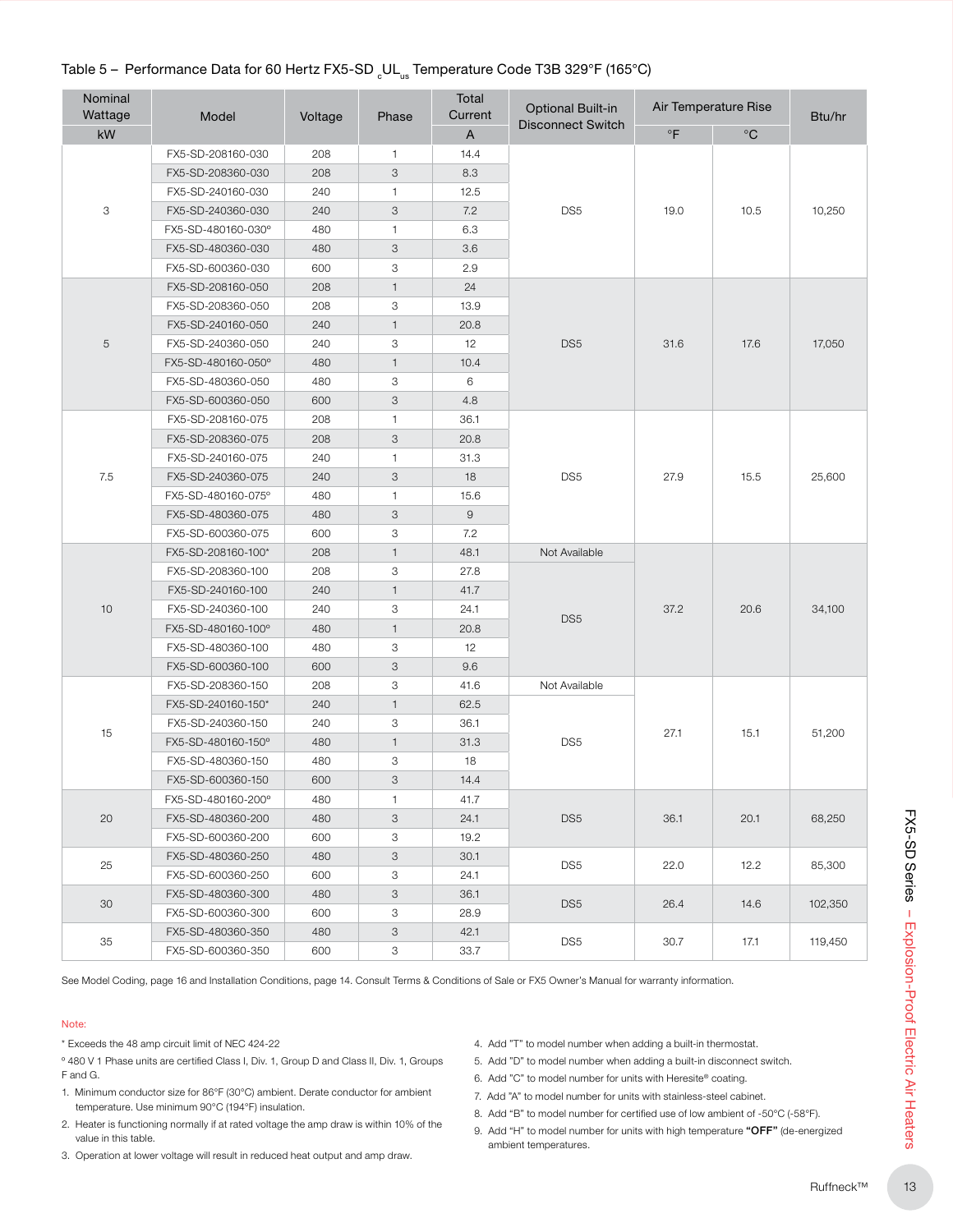## Table 5 – Performance Data for 60 Hertz FX5-SD <sub>c</sub>UL<sub>us</sub> Temperature Code T3B 329°F (165°C)

| Wattage | Model                                  | Voltage | Phase        | Total<br>Current | <b>Optional Built-in</b> | Air Temperature Rise | Btu/hr       |         |
|---------|----------------------------------------|---------|--------------|------------------|--------------------------|----------------------|--------------|---------|
| kW      |                                        |         |              | A                | <b>Disconnect Switch</b> | $^\circ \mathsf{F}$  |              |         |
|         | FX5-SD-208160-030                      | 208     | 1            | 14.4             |                          |                      | $^{\circ}$ C |         |
|         | FX5-SD-208360-030                      | 208     | 3            | 8.3              |                          |                      |              |         |
|         | FX5-SD-240160-030                      | 240     | 1            | 12.5             |                          |                      |              |         |
| 3       | FX5-SD-240360-030                      | 240     | 3            | 7.2              | DS <sub>5</sub>          | 19.0                 | 10.5         | 10,250  |
|         | FX5-SD-480160-030°                     | 480     | 1            | 6.3              |                          |                      |              |         |
|         | FX5-SD-480360-030                      | 480     | 3            | 3.6              |                          |                      |              |         |
|         | FX5-SD-600360-030                      | 600     | 3            | 2.9              |                          |                      |              |         |
|         | FX5-SD-208160-050                      | 208     | $\mathbf{1}$ | 24               |                          |                      |              |         |
|         | FX5-SD-208360-050                      | 208     | 3            | 13.9             |                          |                      |              |         |
|         | FX5-SD-240160-050                      | 240     | $\mathbf{1}$ | 20.8             |                          |                      |              |         |
| 5       | FX5-SD-240360-050                      | 240     | 3            | 12               | DS <sub>5</sub>          | 31.6                 | 17.6         | 17,050  |
|         | FX5-SD-480160-050°                     | 480     | $\mathbf{1}$ | 10.4             |                          |                      |              |         |
|         | FX5-SD-480360-050                      | 480     | 3            | 6                |                          |                      |              |         |
|         |                                        | 600     | 3            | 4.8              |                          |                      |              |         |
|         | FX5-SD-600360-050<br>FX5-SD-208160-075 |         | 1            | 36.1             |                          |                      |              |         |
|         |                                        | 208     |              |                  |                          |                      |              |         |
|         | FX5-SD-208360-075                      | 208     | 3            | 20.8             |                          |                      |              |         |
|         | FX5-SD-240160-075                      | 240     | 1            | 31.3             |                          |                      |              |         |
| 7.5     | FX5-SD-240360-075                      | 240     | 3            | 18               | DS <sub>5</sub>          | 27.9                 | 15.5         | 25,600  |
|         | FX5-SD-480160-075°                     | 480     | 1            | 15.6             |                          |                      |              |         |
|         | FX5-SD-480360-075                      | 480     | 3            | $\overline{9}$   |                          |                      |              |         |
|         | FX5-SD-600360-075                      | 600     | 3            | 7.2              |                          |                      |              |         |
|         | FX5-SD-208160-100*                     | 208     | $\mathbf{1}$ | 48.1             | Not Available            | 37.2                 | 20.6         | 34,100  |
|         | FX5-SD-208360-100                      | 208     | 3            | 27.8             |                          |                      |              |         |
|         | FX5-SD-240160-100                      | 240     | $\mathbf{1}$ | 41.7             |                          |                      |              |         |
| 10      | FX5-SD-240360-100                      | 240     | 3            | 24.1             | DS <sub>5</sub>          |                      |              |         |
|         | FX5-SD-480160-100°                     | 480     | $\mathbf{1}$ | 20.8             |                          |                      |              |         |
|         | FX5-SD-480360-100                      | 480     | 3            | 12               |                          |                      |              |         |
|         | FX5-SD-600360-100                      | 600     | 3            | 9.6              |                          | 27.1                 | 15.1         | 51,200  |
|         | FX5-SD-208360-150                      | 208     | 3            | 41.6             | Not Available            |                      |              |         |
|         | FX5-SD-240160-150*                     | 240     | $\mathbf{1}$ | 62.5             |                          |                      |              |         |
| 15      | FX5-SD-240360-150                      | 240     | 3            | 36.1             |                          |                      |              |         |
|         | FX5-SD-480160-150°                     | 480     | $\mathbf{1}$ | 31.3             | DS <sub>5</sub>          |                      |              |         |
|         | FX5-SD-480360-150                      | 480     | 3            | 18               |                          |                      |              |         |
|         | FX5-SD-600360-150                      | 600     | 3            | 14.4             |                          |                      |              |         |
|         | FX5-SD-480160-200°                     | 480     | 1            | 41.7             |                          | 36.1                 | 20.1         | 68,250  |
| 20      | FX5-SD-480360-200                      | 480     | 3            | 24.1             | DS <sub>5</sub>          |                      |              |         |
|         | FX5-SD-600360-200                      | 600     | 3            | 19.2             |                          |                      |              |         |
| 25      | FX5-SD-480360-250                      | 480     | 3            | 30.1             | DS <sub>5</sub>          | 22.0                 | 12.2         | 85,300  |
|         | FX5-SD-600360-250                      | 600     | 3            | 24.1             |                          |                      |              |         |
| 30      | FX5-SD-480360-300                      | 480     | 3            | 36.1             | DS <sub>5</sub>          | 26.4                 | 14.6         | 102,350 |
|         | FX5-SD-600360-300                      | 600     | 3            | 28.9             |                          |                      |              |         |
| 35      | FX5-SD-480360-350                      | 480     | 3            | 42.1             | DS <sub>5</sub>          | 30.7                 | 17.1         | 119,450 |
|         | FX5-SD-600360-350                      | 600     | 3            | 33.7             |                          |                      |              |         |

#### Note<sup>-</sup>

- \* Exceeds the 48 amp circuit limit of NEC 424-22
- º 480 V 1 Phase units are certified Class I, Div. 1, Group D and Class II, Div. 1, Groups F and G.
- 1. Minimum conductor size for 86°F (30°C) ambient. Derate conductor for ambient temperature. Use minimum 90°C (194°F) insulation.
- 2. Heater is functioning normally if at rated voltage the amp draw is within 10% of the value in this table.
- 3. Operation at lower voltage will result in reduced heat output and amp draw.
- 4. Add "T" to model number when adding a built-in thermostat.
- 5. Add "D" to model number when adding a built-in disconnect switch.
- 6. Add "C" to model number for units with Heresite® coating.
- 7. Add "A" to model number for units with stainless-steel cabinet.
- 8. Add "B" to model number for certified use of low ambient of -50°C (-58°F).
- 9. Add "H" to model number for units with high temperature "OFF" (de-energized ambient temperatures.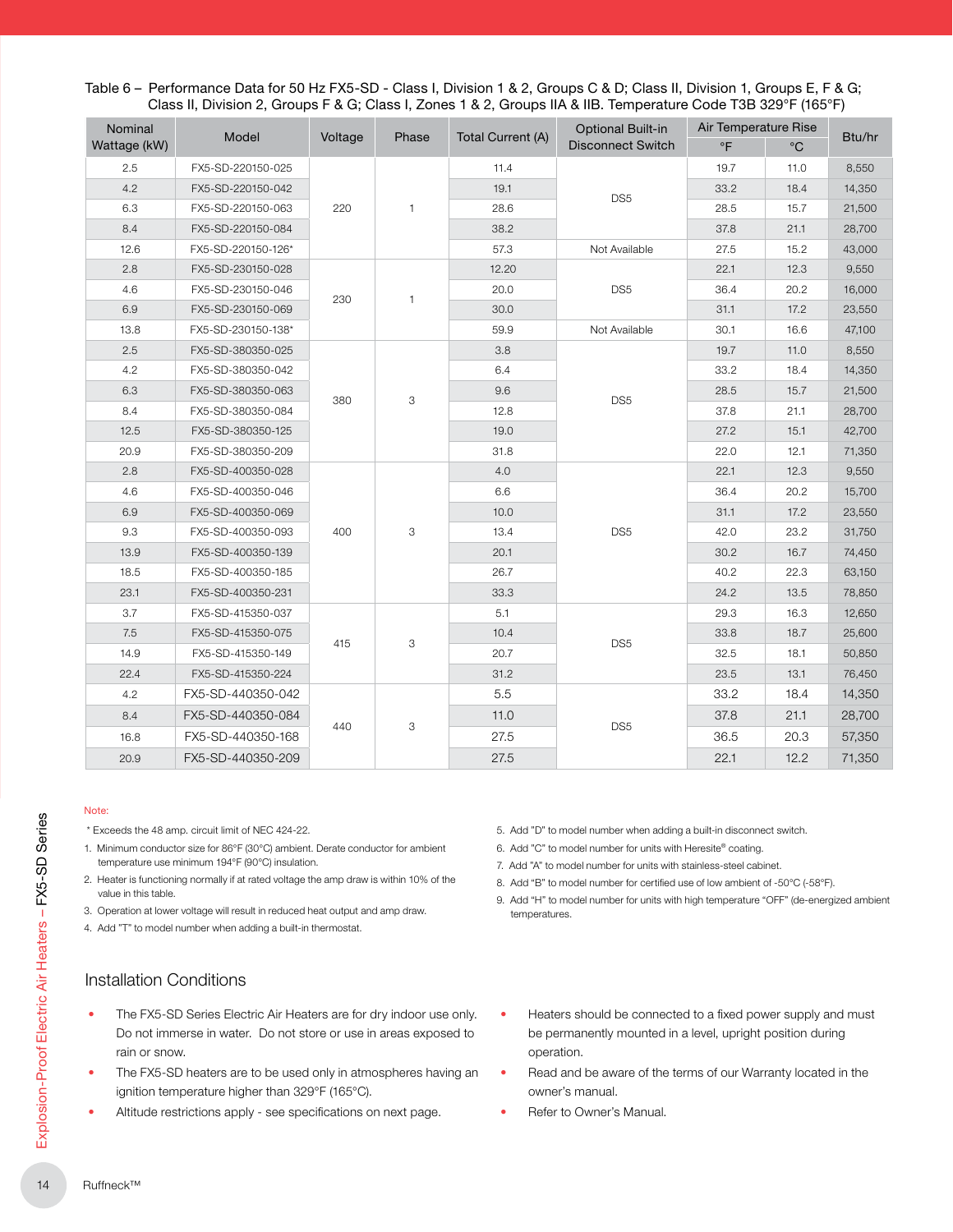| Table 6 – Performance Data for 50 Hz FX5-SD - Class I, Division 1 & 2, Groups C & D; Class II, Division 1, Groups E, F & G; |  |
|-----------------------------------------------------------------------------------------------------------------------------|--|
| Class II, Division 2, Groups F & G; Class I, Zones 1 & 2, Groups IIA & IIB. Temperature Code T3B 329°F (165°F)              |  |

| Nominal      | Model              |         | Phase        |                   | <b>Optional Built-in</b> | Air Temperature Rise |              | Btu/hr |
|--------------|--------------------|---------|--------------|-------------------|--------------------------|----------------------|--------------|--------|
| Wattage (kW) |                    | Voltage |              | Total Current (A) | <b>Disconnect Switch</b> | $\circ$ F            | $^{\circ}$ C |        |
| 2.5          | FX5-SD-220150-025  | 220     |              | 11.4              | DS <sub>5</sub>          | 19.7                 | 11.0         | 8,550  |
| 4.2          | FX5-SD-220150-042  |         |              | 19.1              |                          | 33.2                 | 18.4         | 14,350 |
| 6.3          | FX5-SD-220150-063  |         | 1            | 28.6              |                          | 28.5                 | 15.7         | 21,500 |
| 8.4          | FX5-SD-220150-084  |         |              | 38.2              |                          | 37.8                 | 21.1         | 28,700 |
| 12.6         | FX5-SD-220150-126* |         |              | 57.3              | Not Available            | 27.5                 | 15.2         | 43,000 |
| 2.8          | FX5-SD-230150-028  |         |              | 12.20             |                          | 22.1                 | 12.3         | 9,550  |
| 4.6          | FX5-SD-230150-046  | 230     | $\mathbf{1}$ | 20.0              | DS <sub>5</sub>          | 36.4                 | 20.2         | 16,000 |
| 6.9          | FX5-SD-230150-069  |         |              | 30.0              |                          | 31.1                 | 17.2         | 23,550 |
| 13.8         | FX5-SD-230150-138* |         |              | 59.9              | Not Available            | 30.1                 | 16.6         | 47,100 |
| 2.5          | FX5-SD-380350-025  |         | 3            | 3.8               | DS <sub>5</sub>          | 19.7                 | 11.0         | 8,550  |
| 4.2          | FX5-SD-380350-042  |         |              | 6.4               |                          | 33.2                 | 18.4         | 14,350 |
| 6.3          | FX5-SD-380350-063  | 380     |              | 9.6               |                          | 28.5                 | 15.7         | 21,500 |
| 8.4          | FX5-SD-380350-084  |         |              | 12.8              |                          | 37.8                 | 21.1         | 28,700 |
| 12.5         | FX5-SD-380350-125  |         |              | 19.0              |                          | 27.2                 | 15.1         | 42,700 |
| 20.9         | FX5-SD-380350-209  |         |              | 31.8              |                          | 22.0                 | 12.1         | 71,350 |
| 2.8          | FX5-SD-400350-028  |         | 3            | 4.0               | DS <sub>5</sub>          | 22.1                 | 12.3         | 9,550  |
| 4.6          | FX5-SD-400350-046  |         |              | 6.6               |                          | 36.4                 | 20.2         | 15,700 |
| 6.9          | FX5-SD-400350-069  |         |              | 10.0              |                          | 31.1                 | 17.2         | 23,550 |
| 9.3          | FX5-SD-400350-093  | 400     |              | 13.4              |                          | 42.0                 | 23.2         | 31,750 |
| 13.9         | FX5-SD-400350-139  |         |              | 20.1              |                          | 30.2                 | 16.7         | 74,450 |
| 18.5         | FX5-SD-400350-185  |         |              | 26.7              |                          | 40.2                 | 22.3         | 63,150 |
| 23.1         | FX5-SD-400350-231  |         |              | 33.3              |                          | 24.2                 | 13.5         | 78,850 |
| 3.7          | FX5-SD-415350-037  |         |              | 5.1               |                          | 29.3                 | 16.3         | 12,650 |
| 7.5          | FX5-SD-415350-075  | 415     | 3            | 10.4              | DS <sub>5</sub>          | 33.8                 | 18.7         | 25,600 |
| 14.9         | FX5-SD-415350-149  |         |              | 20.7              |                          | 32.5                 | 18.1         | 50,850 |
| 22.4         | FX5-SD-415350-224  |         |              | 31.2              |                          | 23.5                 | 13.1         | 76,450 |
| 4.2          | FX5-SD-440350-042  |         |              | 5.5               |                          | 33.2                 | 18.4         | 14,350 |
| 8.4          | FX5-SD-440350-084  |         |              | 11.0              |                          | 37.8                 | 21.1         | 28,700 |
| 16.8         | FX5-SD-440350-168  | 440     | 3            | 27.5              | DS <sub>5</sub>          | 36.5                 | 20.3         | 57,350 |
| 20.9         | FX5-SD-440350-209  |         |              | 27.5              |                          | 22.1                 | 12.2         | 71,350 |

#### Note:

- \* Exceeds the 48 amp. circuit limit of NEC 424-22.
- 1. Minimum conductor size for 86°F (30°C) ambient. Derate conductor for ambient temperature use minimum 194°F (90°C) insulation.
- 2. Heater is functioning normally if at rated voltage the amp draw is within 10% of the value in this table.
- 3. Operation at lower voltage will result in reduced heat output and amp draw.
- 4. Add "T" to model number when adding a built-in thermostat.

#### 5. Add "D" to model number when adding a built-in disconnect switch.

- 6. Add "C" to model number for units with Heresite® coating.
- 7. Add "A" to model number for units with stainless-steel cabinet.
- 8. Add "B" to model number for certified use of low ambient of -50°C (-58°F).
- 9. Add "H" to model number for units with high temperature "OFF" (de-energized ambient temperatures.

### Installation Conditions

- The FX5-SD Series Electric Air Heaters are for dry indoor use only. Do not immerse in water. Do not store or use in areas exposed to rain or snow.
- The FX5-SD heaters are to be used only in atmospheres having an ignition temperature higher than 329°F (165°C).
- Altitude restrictions apply see specifications on next page.
- Heaters should be connected to a fixed power supply and must be permanently mounted in a level, upright position during operation.
- Read and be aware of the terms of our Warranty located in the owner's manual.
- Refer to Owner's Manual.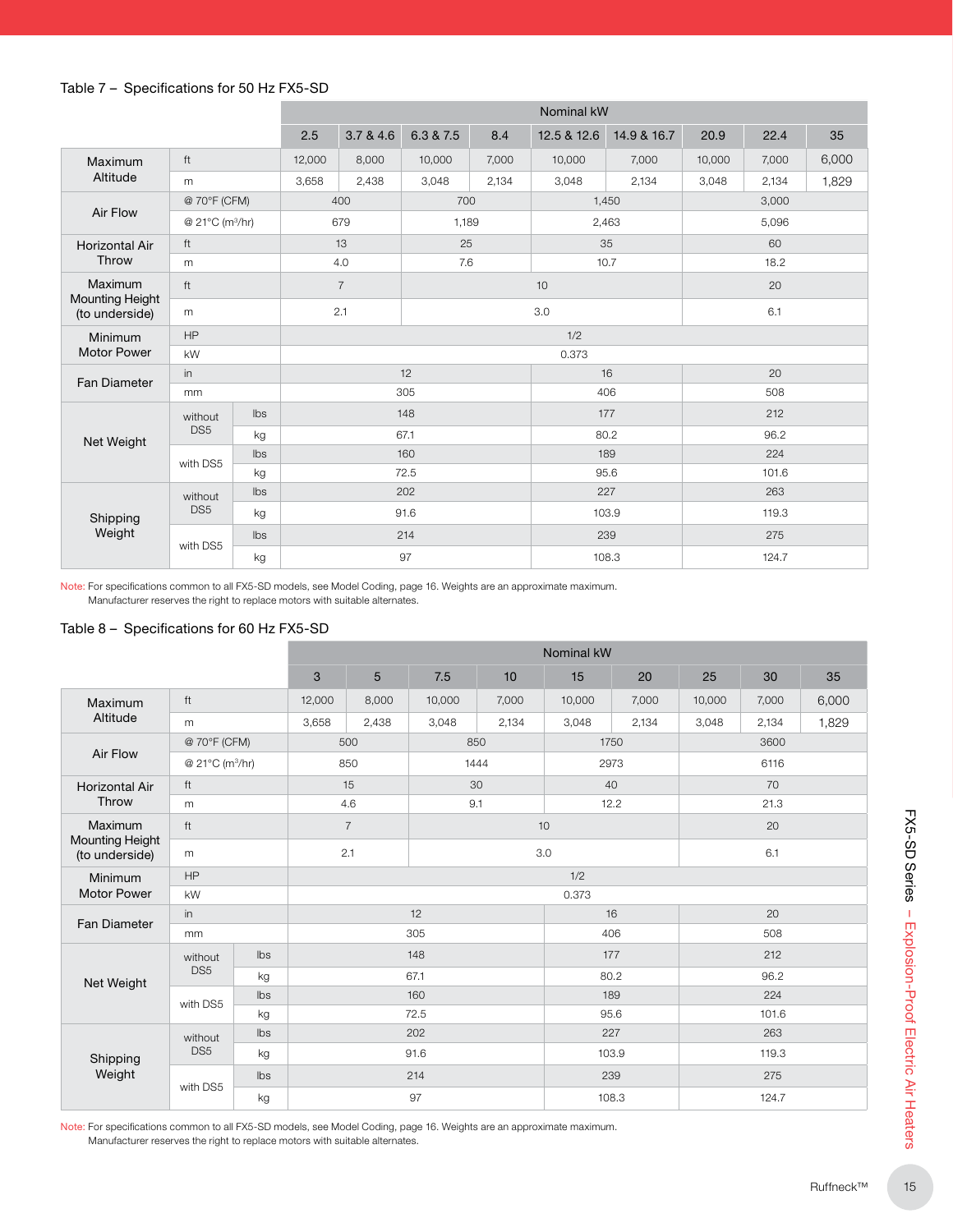#### Table 7 – Specifications for 50 Hz FX5-SD

|                                          |                             |     | Nominal kW     |           |           |       |             |             |        |       |       |  |  |
|------------------------------------------|-----------------------------|-----|----------------|-----------|-----------|-------|-------------|-------------|--------|-------|-------|--|--|
|                                          |                             |     | 2.5            | 3.7 & 4.6 | 6.3 & 7.5 | 8.4   | 12.5 & 12.6 | 14.9 & 16.7 | 20.9   | 22.4  | 35    |  |  |
| Maximum                                  | ft                          |     | 12,000         | 8,000     | 10,000    | 7,000 | 10,000      | 7,000       | 10,000 | 7,000 | 6,000 |  |  |
| Altitude                                 | m                           |     | 3,658          | 2,438     | 3,048     | 2,134 | 3,048       | 2.134       | 3,048  | 2,134 | 1,829 |  |  |
|                                          | @ 70°F (CFM)                |     | 400            |           | 700       |       | 1,450       |             | 3,000  |       |       |  |  |
| Air Flow                                 | @ 21°C (m <sup>3</sup> /hr) |     | 679            |           | 1,189     |       | 2,463       |             | 5,096  |       |       |  |  |
| <b>Horizontal Air</b>                    | ft                          |     | 13             |           | 25        |       |             | 35          | 60     |       |       |  |  |
| Throw                                    | m                           |     |                | 4.0       |           | 7.6   |             | 10.7        |        | 18.2  |       |  |  |
| Maximum                                  | ft                          |     | $\overline{7}$ |           |           |       | 10          |             | 20     |       |       |  |  |
| <b>Mounting Height</b><br>(to underside) | m                           |     |                | 2.1       | 3.0       |       |             |             | 6.1    |       |       |  |  |
| Minimum                                  | HP                          |     | 1/2            |           |           |       |             |             |        |       |       |  |  |
| <b>Motor Power</b>                       | kW                          |     | 0.373          |           |           |       |             |             |        |       |       |  |  |
| <b>Fan Diameter</b>                      | in                          |     |                |           | 12        |       |             | 16          | 20     |       |       |  |  |
|                                          | mm                          |     | 305            |           |           |       |             | 406         | 508    |       |       |  |  |
|                                          | without<br>DS <sub>5</sub>  | Ibs |                | 148       |           |       |             | 177         | 212    |       |       |  |  |
| Net Weight                               |                             | kg  | 67.1           |           |           |       | 80.2        | 96.2        |        |       |       |  |  |
|                                          | with DS5                    | Ibs | 160            |           |           |       | 189         | 224         |        |       |       |  |  |
|                                          |                             | kg  | 72.5           |           |           |       |             | 95.6        | 101.6  |       |       |  |  |
|                                          | without<br>DS <sub>5</sub>  | Ibs | 202            |           |           |       |             | 227         | 263    |       |       |  |  |
| Shipping                                 |                             | kg  |                | 91.6      |           |       |             | 103.9       | 119.3  |       |       |  |  |
| Weight                                   |                             | Ibs |                |           | 214       |       |             | 239         | 275    |       |       |  |  |
|                                          | with DS5                    | kg  |                |           | 97        |       |             | 108.3       |        | 124.7 |       |  |  |

Note: For specifications common to all FX5-SD models, see Model Coding, page 16. Weights are an approximate maximum. Manufacturer reserves the right to replace motors with suitable alternates.

#### Table 8 – Specifications for 60 Hz FX5-SD

|                                          |                             |     |        | Nominal kW      |        |          |                |          |        |       |       |  |  |
|------------------------------------------|-----------------------------|-----|--------|-----------------|--------|----------|----------------|----------|--------|-------|-------|--|--|
|                                          |                             |     | 3      | $5\overline{)}$ | 7.5    | 10       | 15             | 20       | 25     | 30    | 35    |  |  |
| Maximum                                  | ft                          |     | 12,000 | 8,000           | 10,000 | 7,000    | 10,000         | 7,000    | 10,000 | 7,000 | 6,000 |  |  |
| Altitude                                 | m                           |     | 3,658  | 2,438           | 3,048  | 2,134    | 3,048          | 2,134    | 3,048  | 2,134 | 1,829 |  |  |
|                                          | @ 70°F (CFM)                |     | 500    |                 | 850    |          | 1750           |          | 3600   |       |       |  |  |
| Air Flow                                 | @ 21°C (m <sup>3</sup> /hr) |     | 850    |                 | 1444   |          | 2973           |          | 6116   |       |       |  |  |
| <b>Horizontal Air</b>                    | ft                          |     |        | 15              |        | 40<br>30 |                |          | 70     |       |       |  |  |
| Throw                                    | m                           |     |        | 4.6             | 9.1    |          |                | 12.2     |        | 21.3  |       |  |  |
| Maximum                                  | ft                          |     |        | $\overline{7}$  |        |          | 10             |          | 20     |       |       |  |  |
| <b>Mounting Height</b><br>(to underside) | m                           |     |        | 2.1             |        |          | 3.0            |          |        | 6.1   |       |  |  |
| Minimum                                  | HP                          |     |        | 1/2             |        |          |                |          |        |       |       |  |  |
| <b>Motor Power</b>                       | kW                          |     | 0.373  |                 |        |          |                |          |        |       |       |  |  |
| Fan Diameter                             | in                          |     |        |                 | 12     |          |                | 16<br>20 |        |       |       |  |  |
|                                          | mm                          |     |        |                 | 305    |          | 406            |          |        | 508   |       |  |  |
|                                          | without                     | Ibs |        |                 | 148    |          | 177            |          |        | 212   |       |  |  |
| Net Weight                               | DS <sub>5</sub>             | kg  | 67.1   |                 |        |          | 80.2           |          |        | 96.2  |       |  |  |
|                                          | with DS5                    | Ibs | 160    |                 |        |          |                | 189      |        | 224   |       |  |  |
|                                          |                             | kg  |        |                 | 72.5   |          | 95.6           |          |        | 101.6 |       |  |  |
|                                          | without                     | Ibs |        |                 | 202    |          | 227            |          | 263    |       |       |  |  |
| Shipping                                 | DS <sub>5</sub>             | kg  |        | 91.6            |        |          | 103.9          |          |        | 119.3 |       |  |  |
| Weight                                   | with DS5                    | Ibs | 214    |                 |        |          | 239            |          |        | 275   |       |  |  |
|                                          |                             | kg  |        |                 | 97     |          | 108.3<br>124.7 |          |        |       |       |  |  |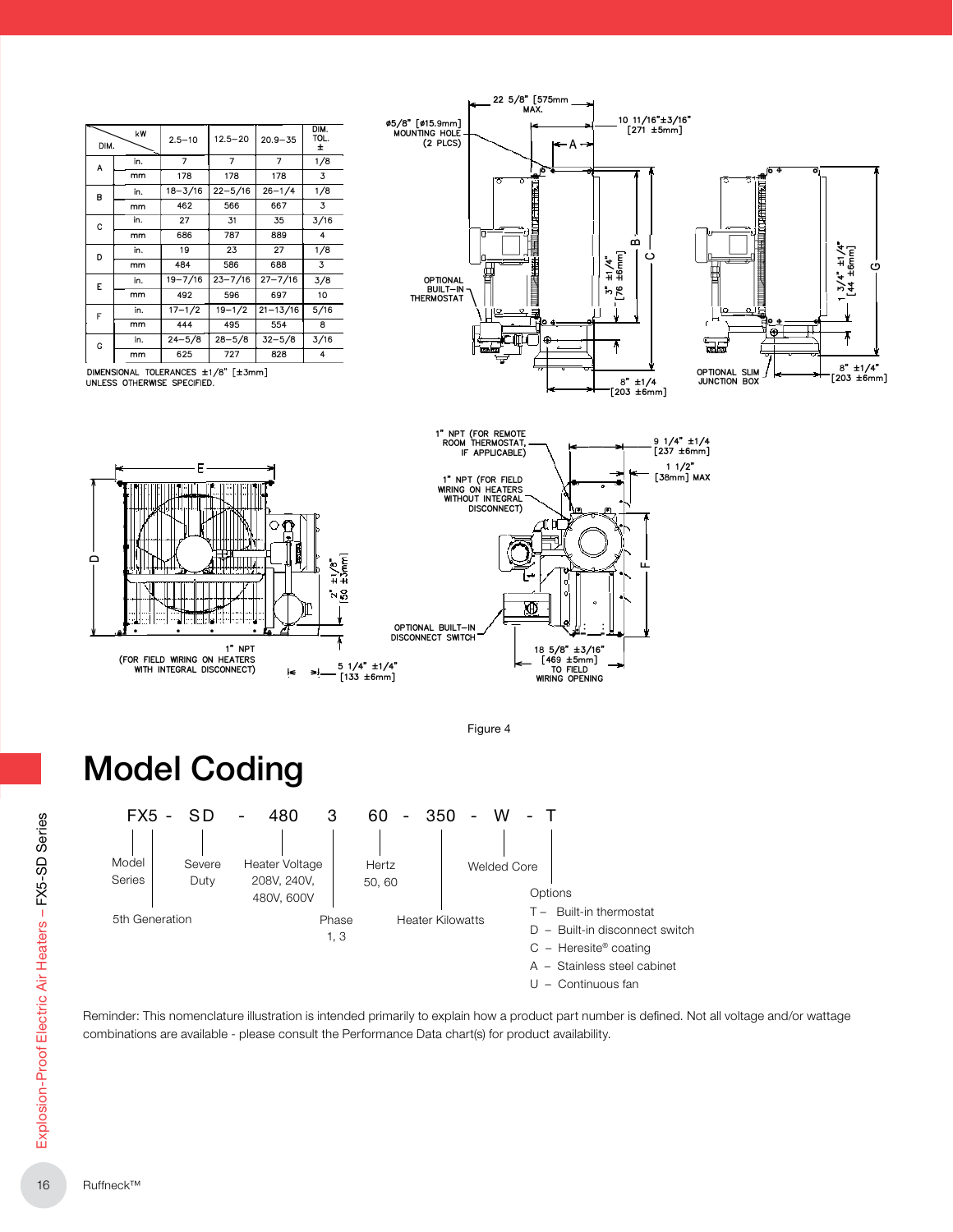

Reminder: This nomenclature illustration is intended primarily to explain how a product part number is defined. Not all voltage and/or wattage combinations are available - please consult the Performance Data chart(s) for product availability.

16